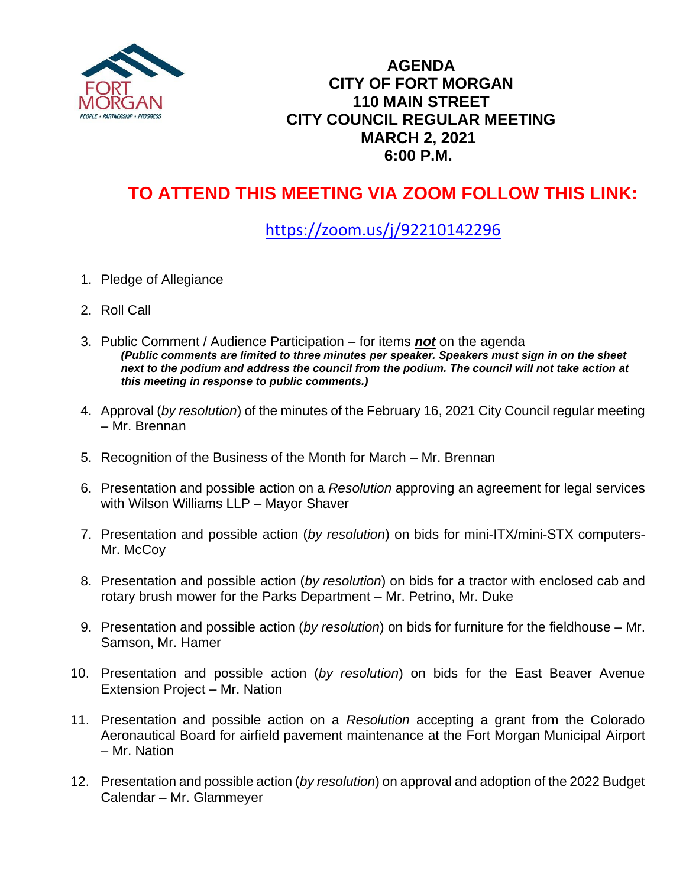

## **AGENDA CITY OF FORT MORGAN 110 MAIN STREET CITY COUNCIL REGULAR MEETING MARCH 2, 2021 6:00 P.M.**

## **TO ATTEND THIS MEETING VIA ZOOM FOLLOW THIS LINK:**

## <https://zoom.us/j/92210142296>

- 1. Pledge of Allegiance
- 2. Roll Call
- 3. Public Comment / Audience Participation for items *not* on the agenda *(Public comments are limited to three minutes per speaker. Speakers must sign in on the sheet next to the podium and address the council from the podium. The council will not take action at this meeting in response to public comments.)*
- 4. Approval (*by resolution*) of the minutes of the February 16, 2021 City Council regular meeting – Mr. Brennan
- 5. Recognition of the Business of the Month for March Mr. Brennan
- 6. Presentation and possible action on a *Resolution* approving an agreement for legal services with Wilson Williams LLP – Mayor Shaver
- 7. Presentation and possible action (*by resolution*) on bids for mini-ITX/mini-STX computers-Mr. McCov
- 8. Presentation and possible action (*by resolution*) on bids for a tractor with enclosed cab and rotary brush mower for the Parks Department – Mr. Petrino, Mr. Duke
- 9. Presentation and possible action (*by resolution*) on bids for furniture for the fieldhouse Mr. Samson, Mr. Hamer
- 10. Presentation and possible action (*by resolution*) on bids for the East Beaver Avenue Extension Project – Mr. Nation
- 11. Presentation and possible action on a *Resolution* accepting a grant from the Colorado Aeronautical Board for airfield pavement maintenance at the Fort Morgan Municipal Airport – Mr. Nation
- 12. Presentation and possible action (*by resolution*) on approval and adoption of the 2022 Budget Calendar – Mr. Glammeyer